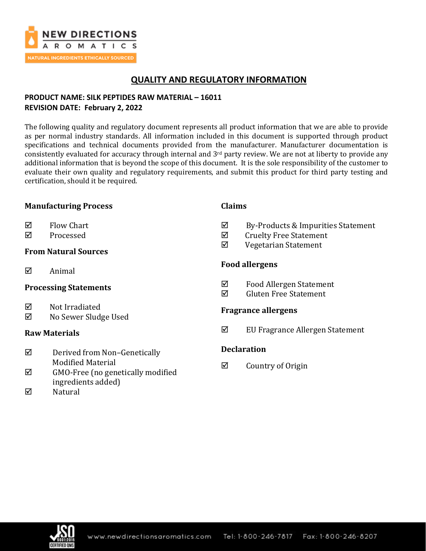

# **QUALITY AND REGULATORY INFORMATION**

## **PRODUCT NAME: SILK PEPTIDES RAW MATERIAL – 16011 REVISION DATE: February 2, 2022**

The following quality and regulatory document represents all product information that we are able to provide as per normal industry standards. All information included in this document is supported through product specifications and technical documents provided from the manufacturer. Manufacturer documentation is consistently evaluated for accuracy through internal and 3rd party review. We are not at liberty to provide any additional information that is beyond the scope of this document. It is the sole responsibility of the customer to evaluate their own quality and regulatory requirements, and submit this product for third party testing and certification, should it be required.

## **Manufacturing Process**

- $\boxtimes$  Flow Chart
- **☑** Processed

## **From Natural Sources**

 $\boxtimes$  Animal

## **Processing Statements**

- $\boxtimes$  Not Irradiated
- No Sewer Sludge Used

## **Raw Materials**

- $\nabla$  Derived from Non-Genetically Modified Material
- $\boxtimes$  GMO-Free (no genetically modified ingredients added)
- $\nabla$  Natural

## **Claims**

- $\boxtimes$  By-Products & Impurities Statement
- $\boxtimes$  Cruelty Free Statement
- Vegetarian Statement

## **Food allergens**

- Food Allergen Statement
- $\boxtimes$  Gluten Free Statement

## **Fragrance allergens**

 $\boxtimes$  EU Fragrance Allergen Statement

## **Declaration**

 $\boxtimes$  Country of Origin

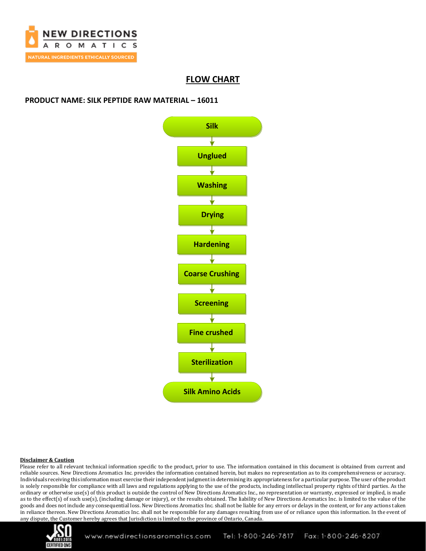

## **FLOW CHART**

### **PRODUCT NAME: SILK PEPTIDE RAW MATERIAL – 16011**



#### **Disclaimer & Caution**

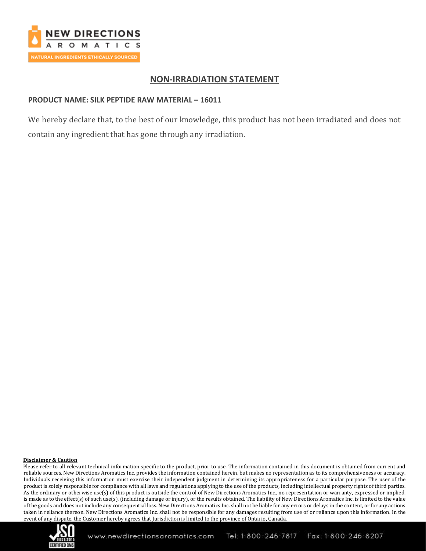

## **NON-IRRADIATION STATEMENT**

### **PRODUCT NAME: SILK PEPTIDE RAW MATERIAL – 16011**

We hereby declare that, to the best of our knowledge, this product has not been irradiated and does not contain any ingredient that has gone through any irradiation.

#### **Disclaimer & Caution**

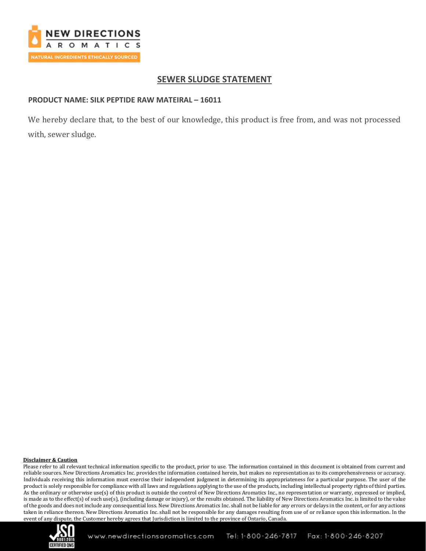

# **SEWER SLUDGE STATEMENT**

### **PRODUCT NAME: SILK PEPTIDE RAW MATEIRAL – 16011**

We hereby declare that, to the best of our knowledge, this product is free from, and was not processed with, sewer sludge.

### **Disclaimer & Caution**

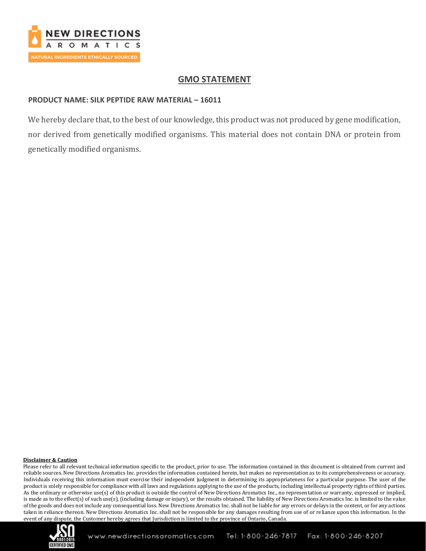

# **GMO STATEMENT**

## **PRODUCT NAME: SILK PEPTIDE RAW MATERIAL – 16011**

We hereby declare that, to the best of our knowledge, this product was not produced by gene modification, nor derived from genetically modified organisms. This material does not contain DNA or protein from genetically modified organisms.

### **Disclaimer & Caution**

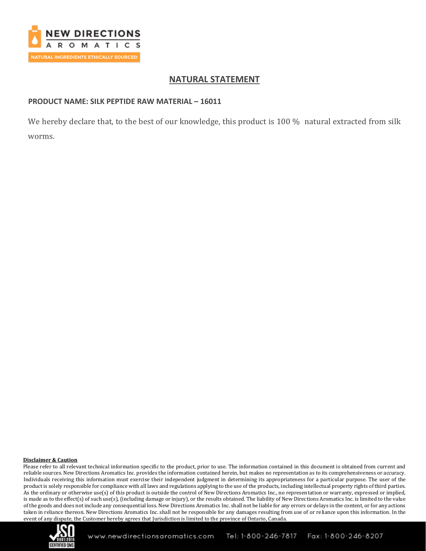

# **NATURAL STATEMENT**

## **PRODUCT NAME: SILK PEPTIDE RAW MATERIAL – 16011**

We hereby declare that, to the best of our knowledge, this product is 100 % natural extracted from silk worms.

### **Disclaimer & Caution**

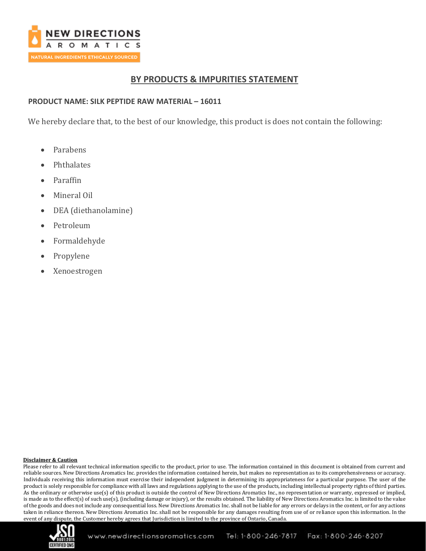

## **BY PRODUCTS & IMPURITIES STATEMENT**

## **PRODUCT NAME: SILK PEPTIDE RAW MATERIAL – 16011**

We hereby declare that, to the best of our knowledge, this product is does not contain the following:

- Parabens
- **Phthalates**
- Paraffin
- Mineral Oil
- DEA (diethanolamine)
- Petroleum
- Formaldehyde
- Propylene
- Xenoestrogen

### **Disclaimer & Caution**

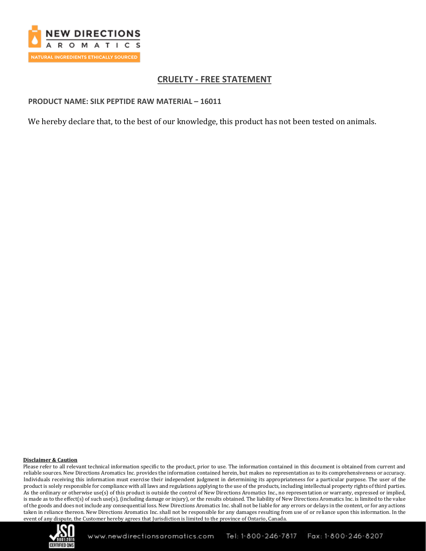

# **CRUELTY - FREE STATEMENT**

### **PRODUCT NAME: SILK PEPTIDE RAW MATERIAL – 16011**

We hereby declare that, to the best of our knowledge, this product has not been tested on animals.

### **Disclaimer & Caution**

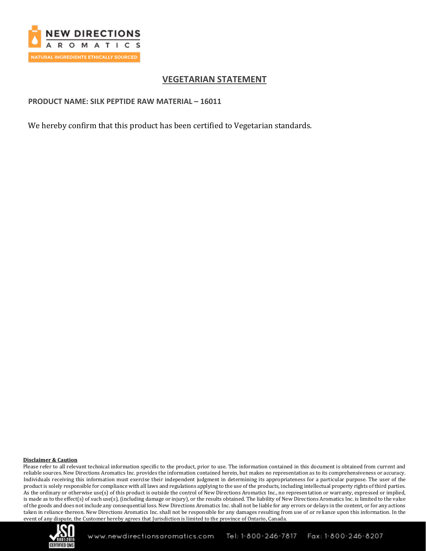

# **VEGETARIAN STATEMENT**

### **PRODUCT NAME: SILK PEPTIDE RAW MATERIAL – 16011**

We hereby confirm that this product has been certified to Vegetarian standards.

#### **Disclaimer & Caution**

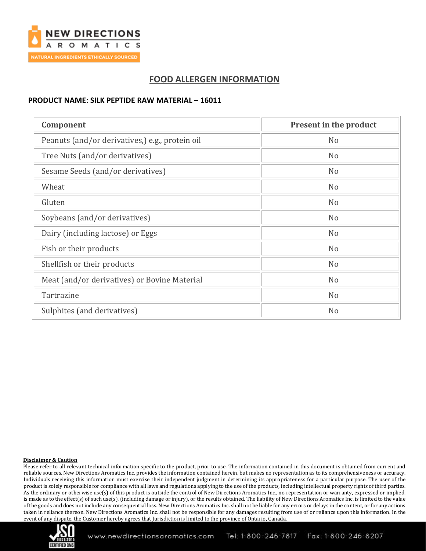

# **FOOD ALLERGEN INFORMATION**

### **PRODUCT NAME: SILK PEPTIDE RAW MATERIAL – 16011**

| Component                                       | Present in the product |
|-------------------------------------------------|------------------------|
| Peanuts (and/or derivatives,) e.g., protein oil | N <sub>o</sub>         |
| Tree Nuts (and/or derivatives)                  | N <sub>o</sub>         |
| Sesame Seeds (and/or derivatives)               | N <sub>o</sub>         |
| Wheat                                           | N <sub>o</sub>         |
| Gluten                                          | N <sub>o</sub>         |
| Soybeans (and/or derivatives)                   | N <sub>o</sub>         |
| Dairy (including lactose) or Eggs               | N <sub>o</sub>         |
| Fish or their products                          | N <sub>o</sub>         |
| Shellfish or their products                     | N <sub>o</sub>         |
| Meat (and/or derivatives) or Bovine Material    | N <sub>o</sub>         |
| Tartrazine                                      | N <sub>o</sub>         |
| Sulphites (and derivatives)                     | N <sub>o</sub>         |

### **Disclaimer & Caution**

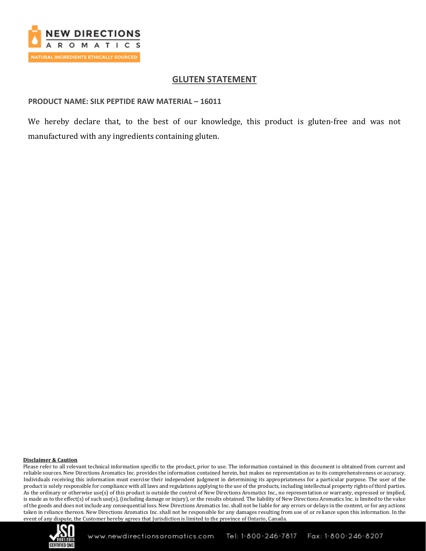

## **GLUTEN STATEMENT**

### **PRODUCT NAME: SILK PEPTIDE RAW MATERIAL – 16011**

We hereby declare that, to the best of our knowledge, this product is gluten-free and was not manufactured with any ingredients containing gluten.

#### **Disclaimer & Caution**

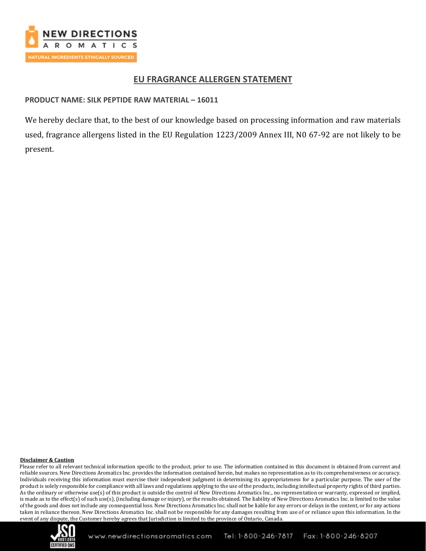

## **EU FRAGRANCE ALLERGEN STATEMENT**

## **PRODUCT NAME: SILK PEPTIDE RAW MATERIAL – 16011**

We hereby declare that, to the best of our knowledge based on processing information and raw materials used, fragrance allergens listed in the EU Regulation 1223/2009 Annex III, N0 67-92 are not likely to be present.

### **Disclaimer & Caution**